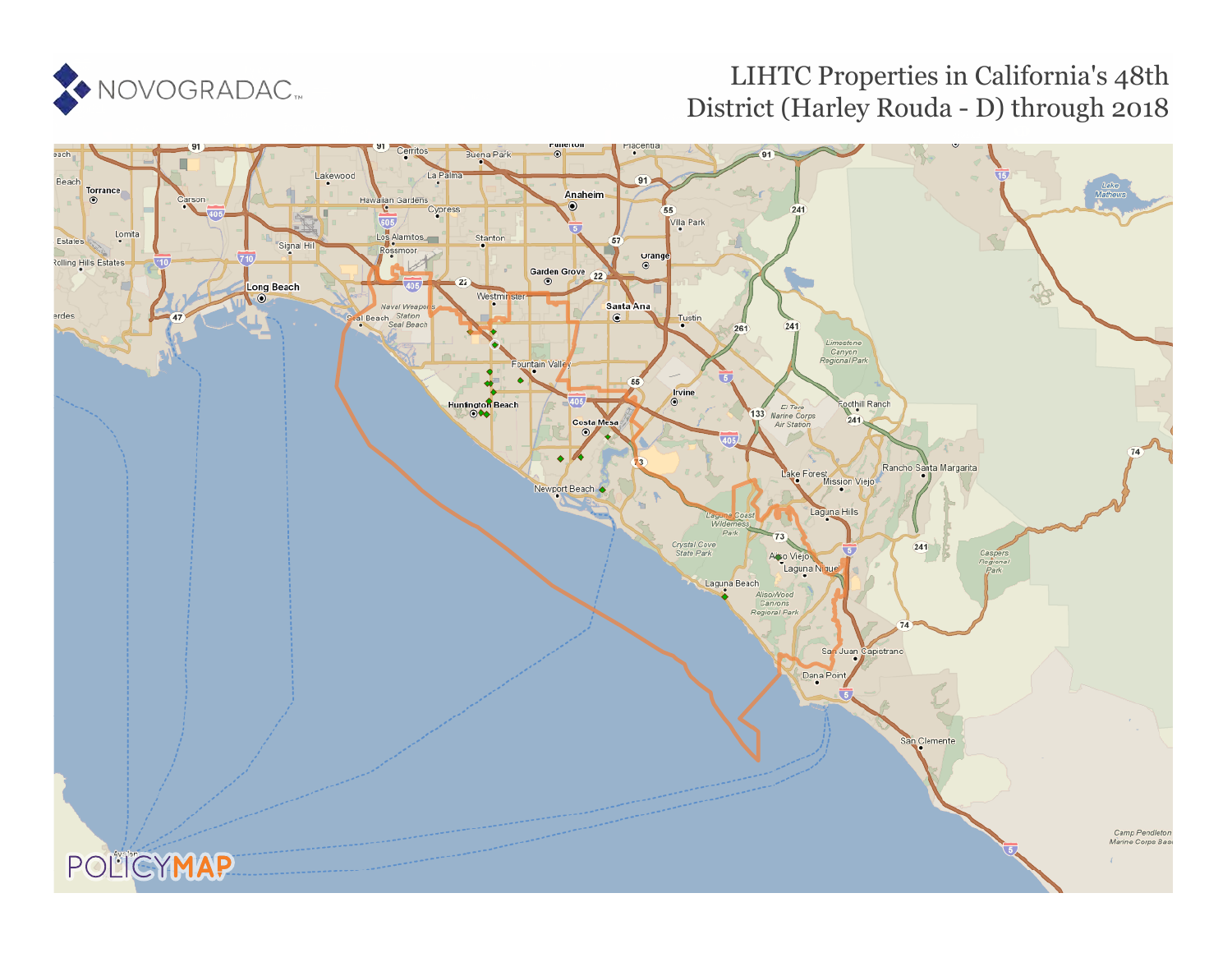

## LIHTC Properties in California's 48th District (Harley Rouda - D) through 2018

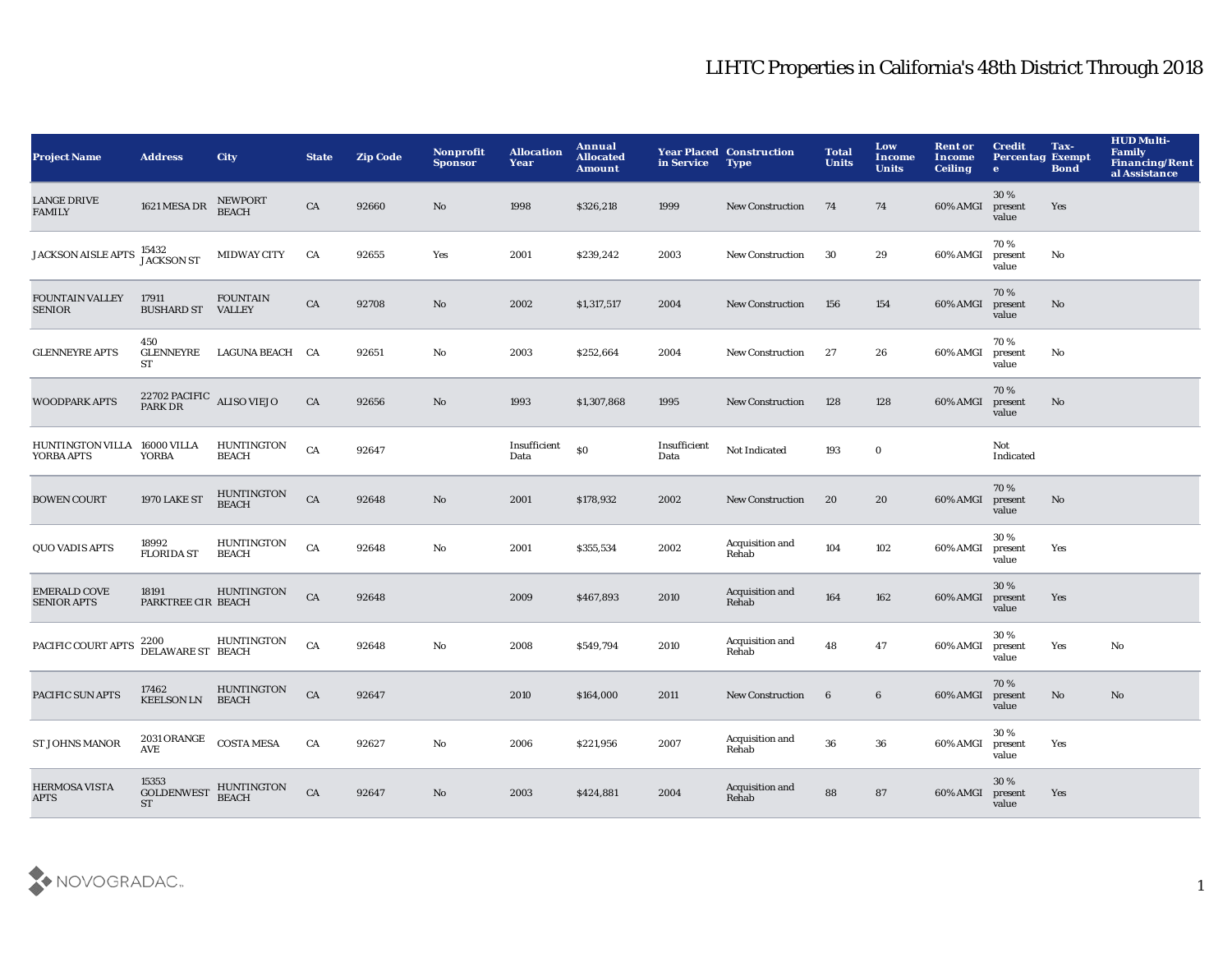## LIHTC Properties in California's 48th District Through 2018

| <b>Project Name</b>                        | <b>Address</b>                          | <b>City</b>                       | <b>State</b> | <b>Zip Code</b> | Nonprofit<br><b>Sponsor</b> | <b>Allocation</b><br>Year | Annual<br><b>Allocated</b><br><b>Amount</b> | in Service           | <b>Year Placed Construction</b><br><b>Type</b> | <b>Total</b><br><b>Units</b> | Low<br><b>Income</b><br><b>Units</b> | <b>Rent or</b><br>Income<br><b>Ceiling</b> | <b>Credit</b><br><b>Percentag Exempt</b><br>$\bullet$ | Tax-<br><b>Bond</b> | <b>HUD Multi-</b><br><b>Family</b><br>Financing/Rent<br>al Assistance |
|--------------------------------------------|-----------------------------------------|-----------------------------------|--------------|-----------------|-----------------------------|---------------------------|---------------------------------------------|----------------------|------------------------------------------------|------------------------------|--------------------------------------|--------------------------------------------|-------------------------------------------------------|---------------------|-----------------------------------------------------------------------|
| <b>LANGE DRIVE</b><br><b>FAMILY</b>        | 1621 MESA DR                            | <b>NEWPORT</b><br><b>BEACH</b>    | CA           | 92660           | No                          | 1998                      | \$326,218                                   | 1999                 | <b>New Construction</b>                        | 74                           | 74                                   | 60% AMGI                                   | 30%<br>present<br>value                               | Yes                 |                                                                       |
| <b>JACKSON AISLE APTS</b>                  | 15432<br>JACKSON ST                     | <b>MIDWAY CITY</b>                | CA           | 92655           | Yes                         | 2001                      | \$239,242                                   | 2003                 | <b>New Construction</b>                        | 30                           | 29                                   | 60% AMGI                                   | 70 %<br>present<br>value                              | No                  |                                                                       |
| FOUNTAIN VALLEY<br><b>SENIOR</b>           | 17911<br><b>BUSHARD ST VALLEY</b>       | <b>FOUNTAIN</b>                   | CA           | 92708           | No                          | 2002                      | \$1,317,517                                 | 2004                 | <b>New Construction</b>                        | 156                          | 154                                  | 60% AMGI                                   | 70%<br>present<br>value                               | No                  |                                                                       |
| <b>GLENNEYRE APTS</b>                      | 450<br><b>GLENNEYRE</b><br>ST           | LAGUNA BEACH CA                   |              | 92651           | No                          | 2003                      | \$252,664                                   | 2004                 | <b>New Construction</b>                        | 27                           | 26                                   | 60% AMGI                                   | 70%<br>present<br>value                               | No                  |                                                                       |
| <b>WOODPARK APTS</b>                       | 22702 PACIFIC ALISO VIEJO<br>PARK DR    |                                   | CA           | 92656           | No                          | 1993                      | \$1,307,868                                 | 1995                 | <b>New Construction</b>                        | 128                          | 128                                  | 60% AMGI                                   | 70%<br>present<br>value                               | $\mathbf{No}$       |                                                                       |
| HUNTINGTON VILLA 16000 VILLA<br>YORBA APTS | YORBA                                   | HUNTINGTON<br><b>BEACH</b>        | CA           | 92647           |                             | Insufficient<br>Data      | \$0                                         | Insufficient<br>Data | Not Indicated                                  | 193                          | $\mathbf 0$                          |                                            | Not<br>Indicated                                      |                     |                                                                       |
| <b>BOWEN COURT</b>                         | 1970 LAKE ST                            | <b>HUNTINGTON</b><br><b>BEACH</b> | CA           | 92648           | No                          | 2001                      | \$178,932                                   | 2002                 | <b>New Construction</b>                        | 20                           | 20                                   | 60% AMGI                                   | 70%<br>present<br>value                               | $\mathbf{No}$       |                                                                       |
| QUO VADIS APTS                             | 18992<br><b>FLORIDA ST</b>              | <b>HUNTINGTON</b><br><b>BEACH</b> | CA           | 92648           | No                          | 2001                      | \$355,534                                   | 2002                 | Acquisition and<br>Rehab                       | 104                          | 102                                  | 60% AMGI                                   | 30%<br>present<br>value                               | Yes                 |                                                                       |
| <b>EMERALD COVE</b><br><b>SENIOR APTS</b>  | 18191<br>PARKTREE CIR BEACH             | HUNTINGTON                        | CA           | 92648           |                             | 2009                      | \$467,893                                   | 2010                 | Acquisition and<br>Rehab                       | 164                          | 162                                  | 60% AMGI                                   | 30%<br>present<br>value                               | Yes                 |                                                                       |
| PACIFIC COURT APTS                         | 2200<br>DELAWARE ST BEACH               | <b>HUNTINGTON</b>                 | CA           | 92648           | $\mathbf{N}\mathbf{o}$      | 2008                      | \$549,794                                   | 2010                 | Acquisition and<br>Rehab                       | 48                           | 47                                   | 60% AMGI                                   | 30%<br>present<br>value                               | Yes                 | No                                                                    |
| PACIFIC SUN APTS                           | 17462<br><b>KEELSON LN</b>              | <b>HUNTINGTON</b><br><b>BEACH</b> | CA           | 92647           |                             | 2010                      | \$164,000                                   | 2011                 | <b>New Construction</b>                        | $6\phantom{.0}$              | $6\phantom{.0}$                      | 60% AMGI                                   | 70%<br>present<br>value                               | No                  | No                                                                    |
| ST JOHNS MANOR                             | 2031 ORANGE<br><b>AVE</b>               | <b>COSTA MESA</b>                 | CA           | 92627           | No                          | 2006                      | \$221,956                                   | 2007                 | Acquisition and<br>Rehab                       | 36                           | ${\bf 36}$                           | 60% AMGI                                   | 30%<br>present<br>value                               | Yes                 |                                                                       |
| <b>HERMOSA VISTA</b><br><b>APTS</b>        | 15353<br><b>GOLDENWEST</b><br><b>ST</b> | HUNTINGTON<br><b>BEACH</b>        | CA           | 92647           | No                          | 2003                      | \$424,881                                   | 2004                 | Acquisition and<br>Rehab                       | 88                           | 87                                   | 60% AMGI                                   | 30 %<br>present<br>value                              | Yes                 |                                                                       |